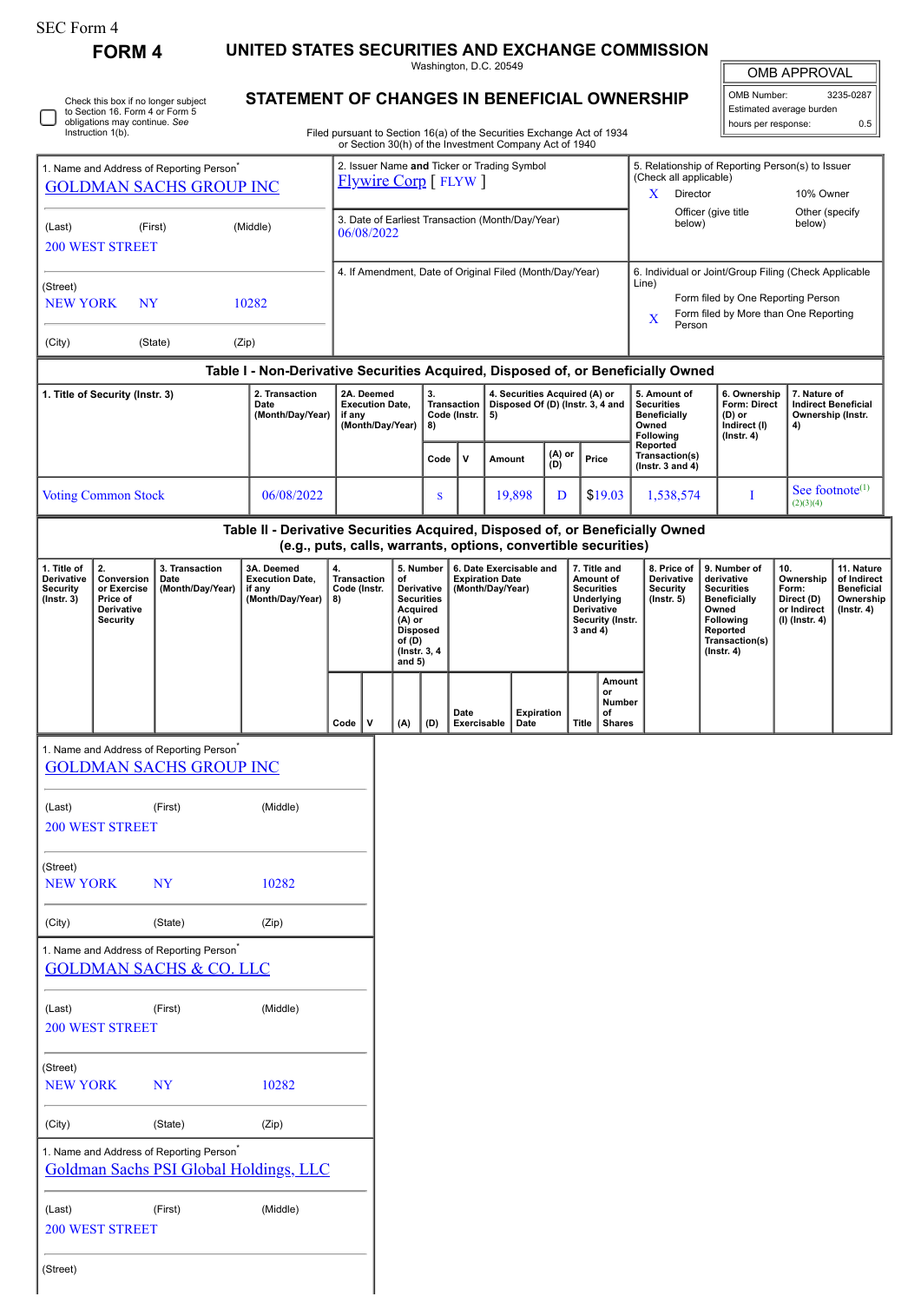## SEC Form 4

0

Check this box if no longer subject to Section 16. Form 4 or Form 5 obligations may continue. *See* Instruction 1(b).

1. Name and Address of Reporting Person

**FORM 4 UNITED STATES SECURITIES AND EXCHANGE COMMISSION**

Washington, D.C. 20549

|  | STATEMENT OF CHANGES IN BENEFICIAL OWNERSHIP |  |
|--|----------------------------------------------|--|

OMB APPROVAL

| OMB Number:              | 3235-0287 |
|--------------------------|-----------|
| Estimated average burden |           |
| hours per response:      | 05        |

Filed pursuant to Section 16(a) of the Securities Exchange Act of 1934 or Section 30(h) of the Investment Company Act of 1940

| 1. Name and Address of Reporting Person<br><b>GOLDMAN SACHS GROUP INC</b>       |                                                                              |                                                                                                | 2. Issuer Name and Ticker or Trading Symbol<br><b>Flywire Corp</b> [FLYW]        |                                                                |          |                                      |                                                                                             |                                                                                                                                                                                                                                                       |                                                           |                           | 5. Relationship of Reporting Person(s) to Issuer<br>(Check all applicable)<br>$\mathbf{X}$<br>Director<br>10% Owner |                                                                                                                                                              |                                                                                                                                          |                                                                          |                                                                                 |                                                                       |                                          |  |
|---------------------------------------------------------------------------------|------------------------------------------------------------------------------|------------------------------------------------------------------------------------------------|----------------------------------------------------------------------------------|----------------------------------------------------------------|----------|--------------------------------------|---------------------------------------------------------------------------------------------|-------------------------------------------------------------------------------------------------------------------------------------------------------------------------------------------------------------------------------------------------------|-----------------------------------------------------------|---------------------------|---------------------------------------------------------------------------------------------------------------------|--------------------------------------------------------------------------------------------------------------------------------------------------------------|------------------------------------------------------------------------------------------------------------------------------------------|--------------------------------------------------------------------------|---------------------------------------------------------------------------------|-----------------------------------------------------------------------|------------------------------------------|--|
| (Last)                                                                          | <b>200 WEST STREET</b>                                                       | (First)                                                                                        | (Middle)                                                                         | 3. Date of Earliest Transaction (Month/Day/Year)<br>06/08/2022 |          |                                      |                                                                                             |                                                                                                                                                                                                                                                       | Officer (give title<br>Other (specify<br>below)<br>below) |                           |                                                                                                                     |                                                                                                                                                              |                                                                                                                                          |                                                                          |                                                                                 |                                                                       |                                          |  |
| (Street)<br><b>NEW YORK</b><br><b>NY</b><br>10282<br>(Zip)<br>(City)<br>(State) |                                                                              |                                                                                                |                                                                                  | 4. If Amendment, Date of Original Filed (Month/Day/Year)       |          |                                      |                                                                                             |                                                                                                                                                                                                                                                       |                                                           |                           |                                                                                                                     | 6. Individual or Joint/Group Filing (Check Applicable<br>Line)<br>Form filed by One Reporting Person<br>Form filed by More than One Reporting<br>$\mathbf X$ |                                                                                                                                          |                                                                          |                                                                                 |                                                                       |                                          |  |
|                                                                                 |                                                                              |                                                                                                |                                                                                  |                                                                |          |                                      |                                                                                             |                                                                                                                                                                                                                                                       |                                                           |                           |                                                                                                                     | Person                                                                                                                                                       |                                                                                                                                          |                                                                          |                                                                                 |                                                                       |                                          |  |
|                                                                                 |                                                                              |                                                                                                | Table I - Non-Derivative Securities Acquired, Disposed of, or Beneficially Owned |                                                                |          |                                      |                                                                                             |                                                                                                                                                                                                                                                       |                                                           |                           |                                                                                                                     |                                                                                                                                                              |                                                                                                                                          |                                                                          |                                                                                 |                                                                       |                                          |  |
| 1. Title of Security (Instr. 3)                                                 |                                                                              | 2. Transaction<br>Date<br>(Month/Day/Year)                                                     | 2A. Deemed<br><b>Execution Date,</b><br>if any<br>(Month/Day/Year)               |                                                                | 3.<br>8) |                                      | <b>Transaction</b><br>Code (Instr.                                                          | 4. Securities Acquired (A) or<br>Disposed Of (D) (Instr. 3, 4 and<br>5)                                                                                                                                                                               |                                                           | (A) or                    |                                                                                                                     |                                                                                                                                                              | 5. Amount of<br><b>Securities</b><br><b>Beneficially</b><br>Owned<br>Following<br>Reported<br>Transaction(s)                             |                                                                          | 6. Ownership<br>Form: Direct<br>(D) or<br>Indirect (I)<br>$($ Instr. 4 $)$      | 7. Nature of<br><b>Indirect Beneficial</b><br>Ownership (Instr.<br>4) |                                          |  |
|                                                                                 | <b>Voting Common Stock</b>                                                   |                                                                                                | 06/08/2022                                                                       |                                                                |          |                                      | Code<br>S                                                                                   | ۷                                                                                                                                                                                                                                                     | Amount                                                    | 19,898                    | (D)<br>D                                                                                                            | Price                                                                                                                                                        | \$19.03                                                                                                                                  | ( $lnstr. 3 and 4$ )<br>1,538,574                                        |                                                                                 | I                                                                     | See footnote <sup>(1)</sup><br>(2)(3)(4) |  |
|                                                                                 |                                                                              |                                                                                                | Table II - Derivative Securities Acquired, Disposed of, or Beneficially Owned    |                                                                |          |                                      |                                                                                             |                                                                                                                                                                                                                                                       |                                                           |                           |                                                                                                                     |                                                                                                                                                              |                                                                                                                                          |                                                                          |                                                                                 |                                                                       |                                          |  |
| 1. Title of<br>Derivative<br><b>Security</b><br>$($ Instr. 3 $)$                | 2.<br>Conversion<br>or Exercise<br>Price of<br>Derivative<br><b>Security</b> | 3. Transaction<br>Date<br>(Month/Day/Year)                                                     | 3A. Deemed<br><b>Execution Date.</b><br>if any<br>(Month/Day/Year)               | 4.<br><b>Transaction</b><br>Code (Instr.<br>8)                 |          | of<br>$(A)$ or<br>of (D)<br>and $5)$ | 5. Number<br>Derivative<br><b>Securities</b><br>Acquired<br><b>Disposed</b><br>(Instr. 3, 4 | (e.g., puts, calls, warrants, options, convertible securities)<br>6. Date Exercisable and<br>7. Title and<br><b>Expiration Date</b><br>Amount of<br>(Month/Day/Year)<br><b>Securities</b><br>Underlying<br>Derivative<br>Security (Instr.<br>3 and 4) |                                                           |                           | 8. Price of<br>Derivative<br><b>Security</b><br>$($ Instr. $5)$                                                     |                                                                                                                                                              | 9. Number of<br>derivative<br><b>Securities</b><br><b>Beneficially</b><br>Owned<br>Following<br>Reported<br>Transaction(s)<br>(Instr. 4) | 10.<br>Ownership<br>Form:<br>Direct (D)<br>or Indirect<br>(I) (Instr. 4) | 11. Nature<br>of Indirect<br><b>Beneficial</b><br>Ownership<br>$($ Instr. 4 $)$ |                                                                       |                                          |  |
|                                                                                 |                                                                              |                                                                                                |                                                                                  | Code                                                           | v        | (A)                                  | (D)                                                                                         | Date<br>Exercisable                                                                                                                                                                                                                                   |                                                           | <b>Expiration</b><br>Date |                                                                                                                     | Title                                                                                                                                                        | Amount<br>or<br>Number<br>of<br><b>Shares</b>                                                                                            |                                                                          |                                                                                 |                                                                       |                                          |  |
|                                                                                 |                                                                              | 1. Name and Address of Reporting Person <sup>7</sup><br><b>GOLDMAN SACHS GROUP INC</b>         |                                                                                  |                                                                |          |                                      |                                                                                             |                                                                                                                                                                                                                                                       |                                                           |                           |                                                                                                                     |                                                                                                                                                              |                                                                                                                                          |                                                                          |                                                                                 |                                                                       |                                          |  |
| (Last)                                                                          | <b>200 WEST STREET</b>                                                       | (First)                                                                                        | (Middle)                                                                         |                                                                |          |                                      |                                                                                             |                                                                                                                                                                                                                                                       |                                                           |                           |                                                                                                                     |                                                                                                                                                              |                                                                                                                                          |                                                                          |                                                                                 |                                                                       |                                          |  |
| (Street)<br><b>NEW YORK</b>                                                     |                                                                              | <b>NY</b>                                                                                      | 10282                                                                            |                                                                |          |                                      |                                                                                             |                                                                                                                                                                                                                                                       |                                                           |                           |                                                                                                                     |                                                                                                                                                              |                                                                                                                                          |                                                                          |                                                                                 |                                                                       |                                          |  |
| (City)                                                                          |                                                                              | (State)                                                                                        | (Zip)                                                                            |                                                                |          |                                      |                                                                                             |                                                                                                                                                                                                                                                       |                                                           |                           |                                                                                                                     |                                                                                                                                                              |                                                                                                                                          |                                                                          |                                                                                 |                                                                       |                                          |  |
|                                                                                 |                                                                              | 1. Name and Address of Reporting Person <sup>*</sup><br><b>GOLDMAN SACHS &amp; CO. LLC</b>     |                                                                                  |                                                                |          |                                      |                                                                                             |                                                                                                                                                                                                                                                       |                                                           |                           |                                                                                                                     |                                                                                                                                                              |                                                                                                                                          |                                                                          |                                                                                 |                                                                       |                                          |  |
| (Last)                                                                          | <b>200 WEST STREET</b>                                                       | (First)                                                                                        | (Middle)                                                                         |                                                                |          |                                      |                                                                                             |                                                                                                                                                                                                                                                       |                                                           |                           |                                                                                                                     |                                                                                                                                                              |                                                                                                                                          |                                                                          |                                                                                 |                                                                       |                                          |  |
| (Street)<br><b>NEW YORK</b>                                                     |                                                                              | <b>NY</b>                                                                                      | 10282                                                                            |                                                                |          |                                      |                                                                                             |                                                                                                                                                                                                                                                       |                                                           |                           |                                                                                                                     |                                                                                                                                                              |                                                                                                                                          |                                                                          |                                                                                 |                                                                       |                                          |  |
| (City)                                                                          |                                                                              | (State)                                                                                        | (Zip)                                                                            |                                                                |          |                                      |                                                                                             |                                                                                                                                                                                                                                                       |                                                           |                           |                                                                                                                     |                                                                                                                                                              |                                                                                                                                          |                                                                          |                                                                                 |                                                                       |                                          |  |
|                                                                                 |                                                                              | 1. Name and Address of Reporting Person <sup>*</sup><br>Goldman Sachs PSI Global Holdings, LLC |                                                                                  |                                                                |          |                                      |                                                                                             |                                                                                                                                                                                                                                                       |                                                           |                           |                                                                                                                     |                                                                                                                                                              |                                                                                                                                          |                                                                          |                                                                                 |                                                                       |                                          |  |
| (Last)                                                                          | <b>200 WEST STREET</b>                                                       | (First)                                                                                        | (Middle)                                                                         |                                                                |          |                                      |                                                                                             |                                                                                                                                                                                                                                                       |                                                           |                           |                                                                                                                     |                                                                                                                                                              |                                                                                                                                          |                                                                          |                                                                                 |                                                                       |                                          |  |
| (Street)                                                                        |                                                                              |                                                                                                |                                                                                  |                                                                |          |                                      |                                                                                             |                                                                                                                                                                                                                                                       |                                                           |                           |                                                                                                                     |                                                                                                                                                              |                                                                                                                                          |                                                                          |                                                                                 |                                                                       |                                          |  |